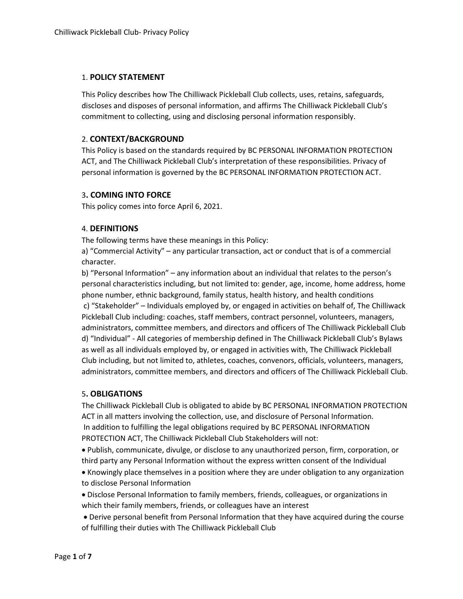#### 1. **POLICY STATEMENT**

This Policy describes how The Chilliwack Pickleball Club collects, uses, retains, safeguards, discloses and disposes of personal information, and affirms The Chilliwack Pickleball Club's commitment to collecting, using and disclosing personal information responsibly.

## 2. **CONTEXT/BACKGROUND**

This Policy is based on the standards required by BC PERSONAL INFORMATION PROTECTION ACT, and The Chilliwack Pickleball Club's interpretation of these responsibilities. Privacy of personal information is governed by the BC PERSONAL INFORMATION PROTECTION ACT.

### 3**. COMING INTO FORCE**

This policy comes into force April 6, 2021.

### 4. **DEFINITIONS**

The following terms have these meanings in this Policy:

a) "Commercial Activity" – any particular transaction, act or conduct that is of a commercial character.

b) "Personal Information" – any information about an individual that relates to the person's personal characteristics including, but not limited to: gender, age, income, home address, home phone number, ethnic background, family status, health history, and health conditions c) "Stakeholder" – Individuals employed by, or engaged in activities on behalf of, The Chilliwack Pickleball Club including: coaches, staff members, contract personnel, volunteers, managers, administrators, committee members, and directors and officers of The Chilliwack Pickleball Club d) "Individual" - All categories of membership defined in The Chilliwack Pickleball Club's Bylaws as well as all individuals employed by, or engaged in activities with, The Chilliwack Pickleball Club including, but not limited to, athletes, coaches, convenors, officials, volunteers, managers, administrators, committee members, and directors and officers of The Chilliwack Pickleball Club.

### 5**. OBLIGATIONS**

The Chilliwack Pickleball Club is obligated to abide by BC PERSONAL INFORMATION PROTECTION ACT in all matters involving the collection, use, and disclosure of Personal Information. In addition to fulfilling the legal obligations required by BC PERSONAL INFORMATION PROTECTION ACT, The Chilliwack Pickleball Club Stakeholders will not:

 Publish, communicate, divulge, or disclose to any unauthorized person, firm, corporation, or third party any Personal Information without the express written consent of the Individual

 Knowingly place themselves in a position where they are under obligation to any organization to disclose Personal Information

 Disclose Personal Information to family members, friends, colleagues, or organizations in which their family members, friends, or colleagues have an interest

 Derive personal benefit from Personal Information that they have acquired during the course of fulfilling their duties with The Chilliwack Pickleball Club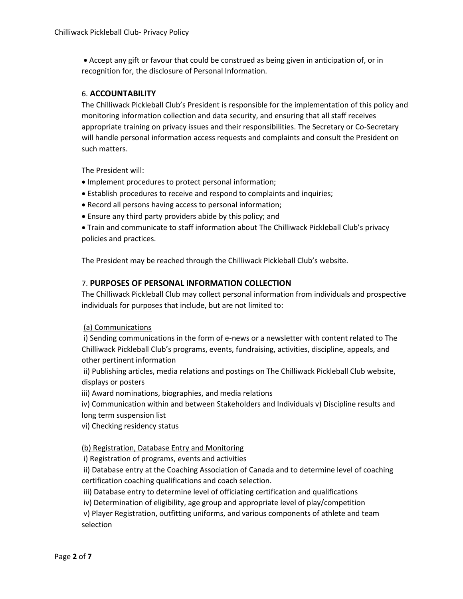Accept any gift or favour that could be construed as being given in anticipation of, or in recognition for, the disclosure of Personal Information.

## 6. **ACCOUNTABILITY**

The Chilliwack Pickleball Club's President is responsible for the implementation of this policy and monitoring information collection and data security, and ensuring that all staff receives appropriate training on privacy issues and their responsibilities. The Secretary or Co-Secretary will handle personal information access requests and complaints and consult the President on such matters.

The President will:

- Implement procedures to protect personal information;
- Establish procedures to receive and respond to complaints and inquiries;
- Record all persons having access to personal information;
- Ensure any third party providers abide by this policy; and
- Train and communicate to staff information about The Chilliwack Pickleball Club's privacy policies and practices.

The President may be reached through the Chilliwack Pickleball Club's website.

## 7. **PURPOSES OF PERSONAL INFORMATION COLLECTION**

The Chilliwack Pickleball Club may collect personal information from individuals and prospective individuals for purposes that include, but are not limited to:

### (a) Communications

i) Sending communications in the form of e-news or a newsletter with content related to The Chilliwack Pickleball Club's programs, events, fundraising, activities, discipline, appeals, and other pertinent information

ii) Publishing articles, media relations and postings on The Chilliwack Pickleball Club website, displays or posters

iii) Award nominations, biographies, and media relations

iv) Communication within and between Stakeholders and Individuals v) Discipline results and long term suspension list

vi) Checking residency status

### (b) Registration, Database Entry and Monitoring

i) Registration of programs, events and activities

ii) Database entry at the Coaching Association of Canada and to determine level of coaching certification coaching qualifications and coach selection.

iii) Database entry to determine level of officiating certification and qualifications

iv) Determination of eligibility, age group and appropriate level of play/competition

v) Player Registration, outfitting uniforms, and various components of athlete and team selection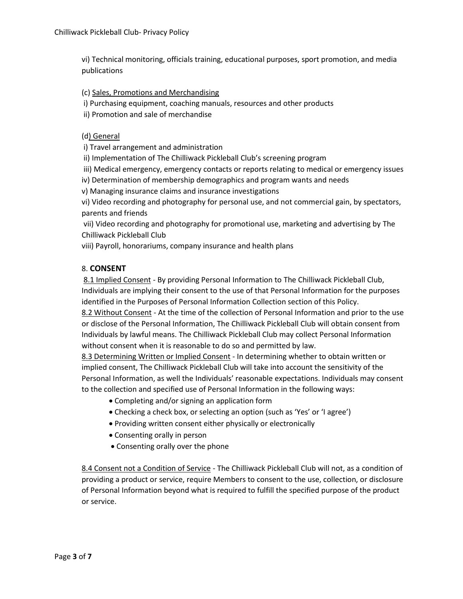vi) Technical monitoring, officials training, educational purposes, sport promotion, and media publications

(c) Sales, Promotions and Merchandising

i) Purchasing equipment, coaching manuals, resources and other products

ii) Promotion and sale of merchandise

## (d) General

i) Travel arrangement and administration

ii) Implementation of The Chilliwack Pickleball Club's screening program

iii) Medical emergency, emergency contacts or reports relating to medical or emergency issues

iv) Determination of membership demographics and program wants and needs

v) Managing insurance claims and insurance investigations

vi) Video recording and photography for personal use, and not commercial gain, by spectators, parents and friends

vii) Video recording and photography for promotional use, marketing and advertising by The Chilliwack Pickleball Club

viii) Payroll, honorariums, company insurance and health plans

# 8. **CONSENT**

8.1 Implied Consent - By providing Personal Information to The Chilliwack Pickleball Club, Individuals are implying their consent to the use of that Personal Information for the purposes identified in the Purposes of Personal Information Collection section of this Policy.

8.2 Without Consent - At the time of the collection of Personal Information and prior to the use or disclose of the Personal Information, The Chilliwack Pickleball Club will obtain consent from Individuals by lawful means. The Chilliwack Pickleball Club may collect Personal Information without consent when it is reasonable to do so and permitted by law.

8.3 Determining Written or Implied Consent - In determining whether to obtain written or implied consent, The Chilliwack Pickleball Club will take into account the sensitivity of the Personal Information, as well the Individuals' reasonable expectations. Individuals may consent to the collection and specified use of Personal Information in the following ways:

- Completing and/or signing an application form
- Checking a check box, or selecting an option (such as 'Yes' or 'I agree')
- Providing written consent either physically or electronically
- Consenting orally in person
- Consenting orally over the phone

8.4 Consent not a Condition of Service - The Chilliwack Pickleball Club will not, as a condition of providing a product or service, require Members to consent to the use, collection, or disclosure of Personal Information beyond what is required to fulfill the specified purpose of the product or service.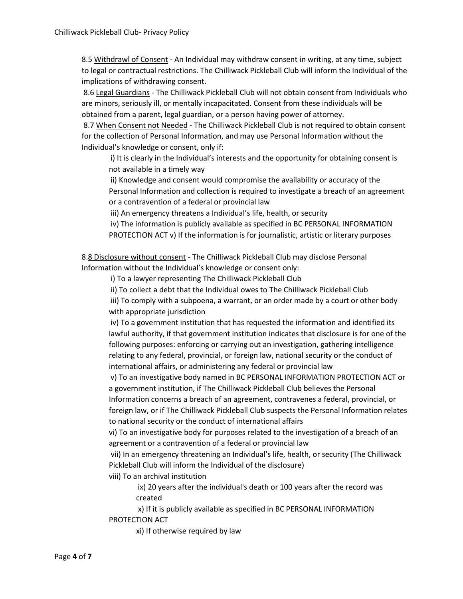8.5 Withdrawl of Consent - An Individual may withdraw consent in writing, at any time, subject to legal or contractual restrictions. The Chilliwack Pickleball Club will inform the Individual of the implications of withdrawing consent.

8.6 Legal Guardians - The Chilliwack Pickleball Club will not obtain consent from Individuals who are minors, seriously ill, or mentally incapacitated. Consent from these individuals will be obtained from a parent, legal guardian, or a person having power of attorney.

8.7 When Consent not Needed - The Chilliwack Pickleball Club is not required to obtain consent for the collection of Personal Information, and may use Personal Information without the Individual's knowledge or consent, only if:

i) It is clearly in the Individual's interests and the opportunity for obtaining consent is not available in a timely way

ii) Knowledge and consent would compromise the availability or accuracy of the Personal Information and collection is required to investigate a breach of an agreement or a contravention of a federal or provincial law

iii) An emergency threatens a Individual's life, health, or security

iv) The information is publicly available as specified in BC PERSONAL INFORMATION PROTECTION ACT v) If the information is for journalistic, artistic or literary purposes

8.8 Disclosure without consent - The Chilliwack Pickleball Club may disclose Personal Information without the Individual's knowledge or consent only:

i) To a lawyer representing The Chilliwack Pickleball Club

ii) To collect a debt that the Individual owes to The Chilliwack Pickleball Club

iii) To comply with a subpoena, a warrant, or an order made by a court or other body with appropriate jurisdiction

iv) To a government institution that has requested the information and identified its lawful authority, if that government institution indicates that disclosure is for one of the following purposes: enforcing or carrying out an investigation, gathering intelligence relating to any federal, provincial, or foreign law, national security or the conduct of international affairs, or administering any federal or provincial law

v) To an investigative body named in BC PERSONAL INFORMATION PROTECTION ACT or a government institution, if The Chilliwack Pickleball Club believes the Personal Information concerns a breach of an agreement, contravenes a federal, provincial, or foreign law, or if The Chilliwack Pickleball Club suspects the Personal Information relates to national security or the conduct of international affairs

vi) To an investigative body for purposes related to the investigation of a breach of an agreement or a contravention of a federal or provincial law

vii) In an emergency threatening an Individual's life, health, or security (The Chilliwack Pickleball Club will inform the Individual of the disclosure)

viii) To an archival institution

ix) 20 years after the individual's death or 100 years after the record was created

x) If it is publicly available as specified in BC PERSONAL INFORMATION PROTECTION ACT

xi) If otherwise required by law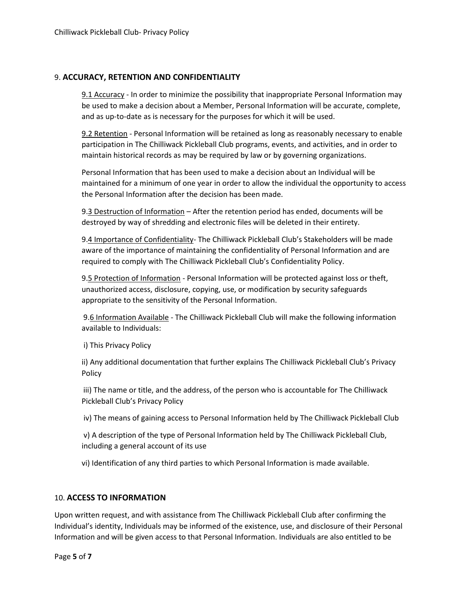## 9. **ACCURACY, RETENTION AND CONFIDENTIALITY**

9.1 Accuracy - In order to minimize the possibility that inappropriate Personal Information may be used to make a decision about a Member, Personal Information will be accurate, complete, and as up-to-date as is necessary for the purposes for which it will be used.

9.2 Retention - Personal Information will be retained as long as reasonably necessary to enable participation in The Chilliwack Pickleball Club programs, events, and activities, and in order to maintain historical records as may be required by law or by governing organizations.

Personal Information that has been used to make a decision about an Individual will be maintained for a minimum of one year in order to allow the individual the opportunity to access the Personal Information after the decision has been made.

9.3 Destruction of Information - After the retention period has ended, documents will be destroyed by way of shredding and electronic files will be deleted in their entirety.

9.4 Importance of Confidentiality- The Chilliwack Pickleball Club's Stakeholders will be made aware of the importance of maintaining the confidentiality of Personal Information and are required to comply with The Chilliwack Pickleball Club's Confidentiality Policy.

9.5 Protection of Information - Personal Information will be protected against loss or theft, unauthorized access, disclosure, copying, use, or modification by security safeguards appropriate to the sensitivity of the Personal Information.

9.6 Information Available - The Chilliwack Pickleball Club will make the following information available to Individuals:

i) This Privacy Policy

ii) Any additional documentation that further explains The Chilliwack Pickleball Club's Privacy Policy

iii) The name or title, and the address, of the person who is accountable for The Chilliwack Pickleball Club's Privacy Policy

iv) The means of gaining access to Personal Information held by The Chilliwack Pickleball Club

v) A description of the type of Personal Information held by The Chilliwack Pickleball Club, including a general account of its use

vi) Identification of any third parties to which Personal Information is made available.

### 10. **ACCESS TO INFORMATION**

Upon written request, and with assistance from The Chilliwack Pickleball Club after confirming the Individual's identity, Individuals may be informed of the existence, use, and disclosure of their Personal Information and will be given access to that Personal Information. Individuals are also entitled to be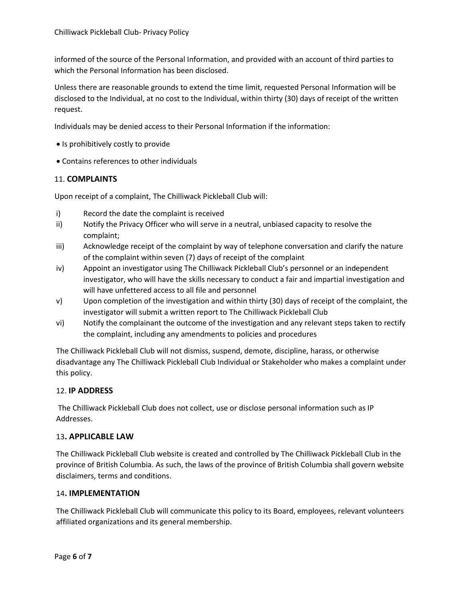informed of the source of the Personal Information, and provided with an account of third parties to which the Personal Information has been disclosed.

Unless there are reasonable grounds to extend the time limit, requested Personal Information will be disclosed to the Individual, at no cost to the Individual, within thirty (30) days of receipt of the written request.

Individuals may be denied access to their Personal Information if the information:

- Is prohibitively costly to provide
- Contains references to other individuals

### 11. **COMPLAINTS**

Upon receipt of a complaint, The Chilliwack Pickleball Club will:

- i) Record the date the complaint is received
- ii) Notify the Privacy Officer who will serve in a neutral, unbiased capacity to resolve the complaint;
- iii) Acknowledge receipt of the complaint by way of telephone conversation and clarify the nature of the complaint within seven (7) days of receipt of the complaint
- iv) Appoint an investigator using The Chilliwack Pickleball Club's personnel or an independent investigator, who will have the skills necessary to conduct a fair and impartial investigation and will have unfettered access to all file and personnel
- v) Upon completion of the investigation and within thirty (30) days of receipt of the complaint, the investigator will submit a written report to The Chilliwack Pickleball Club
- vi) Notify the complainant the outcome of the investigation and any relevant steps taken to rectify the complaint, including any amendments to policies and procedures

The Chilliwack Pickleball Club will not dismiss, suspend, demote, discipline, harass, or otherwise disadvantage any The Chilliwack Pickleball Club Individual or Stakeholder who makes a complaint under this policy.

# 12. **IP ADDRESS**

The Chilliwack Pickleball Club does not collect, use or disclose personal information such as IP Addresses.

### 13**. APPLICABLE LAW**

The Chilliwack Pickleball Club website is created and controlled by The Chilliwack Pickleball Club in the province of British Columbia. As such, the laws of the province of British Columbia shall govern website disclaimers, terms and conditions.

### 14**. IMPLEMENTATION**

The Chilliwack Pickleball Club will communicate this policy to its Board, employees, relevant volunteers affiliated organizations and its general membership.